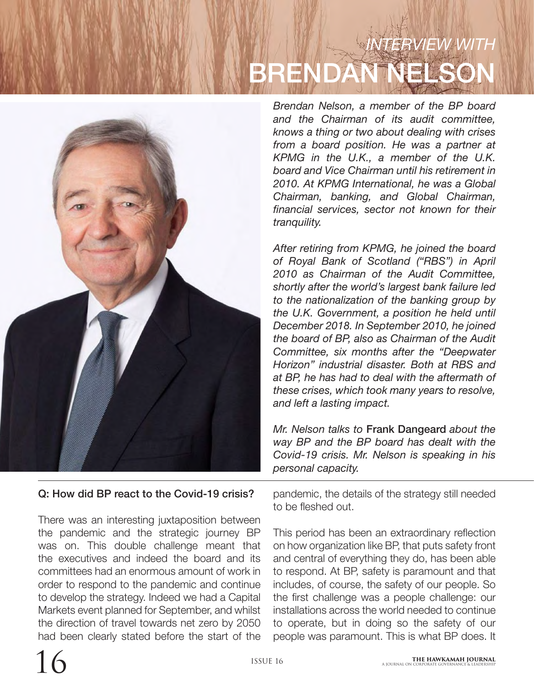# *INTERVIEW WITH* BRENDAN NELSON



Q: How did BP react to the Covid-19 crisis?

There was an interesting juxtaposition between the pandemic and the strategic journey BP was on. This double challenge meant that the executives and indeed the board and its committees had an enormous amount of work in order to respond to the pandemic and continue to develop the strategy. Indeed we had a Capital Markets event planned for September, and whilst the direction of travel towards net zero by 2050 had been clearly stated before the start of the

*Brendan Nelson, a member of the BP board and the Chairman of its audit committee, knows a thing or two about dealing with crises from a board position. He was a partner at KPMG in the U.K., a member of the U.K. board and Vice Chairman until his retirement in 2010. At KPMG International, he was a Global Chairman, banking, and Global Chairman, financial services, sector not known for their tranquility.* 

*After retiring from KPMG, he joined the board of Royal Bank of Scotland ("RBS") in April 2010 as Chairman of the Audit Committee, shortly after the world's largest bank failure led to the nationalization of the banking group by the U.K. Government, a position he held until December 2018. In September 2010, he joined the board of BP, also as Chairman of the Audit Committee, six months after the "Deepwater Horizon" industrial disaster. Both at RBS and at BP, he has had to deal with the aftermath of these crises, which took many years to resolve, and left a lasting impact.*

*Mr. Nelson talks to* Frank Dangeard *about the way BP and the BP board has dealt with the Covid-19 crisis. Mr. Nelson is speaking in his personal capacity.*

pandemic, the details of the strategy still needed to be fleshed out.

This period has been an extraordinary reflection on how organization like BP, that puts safety front and central of everything they do, has been able to respond. At BP, safety is paramount and that includes, of course, the safety of our people. So the first challenge was a people challenge: our installations across the world needed to continue to operate, but in doing so the safety of our people was paramount. This is what BP does. It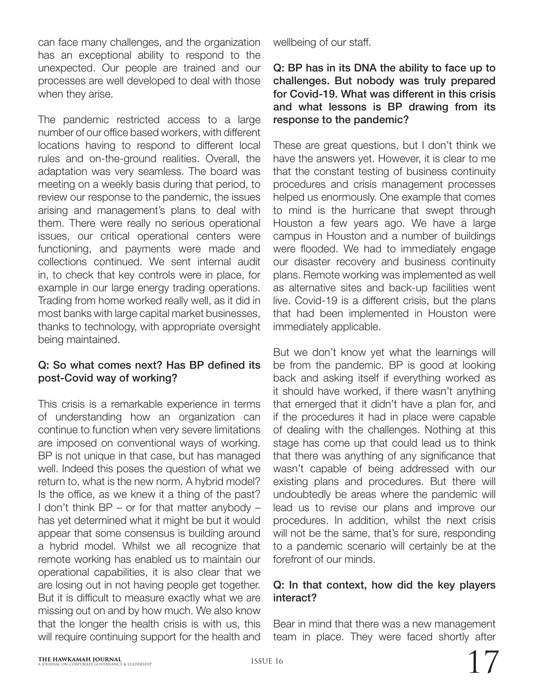can face many challenges, and the organization has an exceptional ability to respond to the unexpected. Our people are trained and our processes are well developed to deal with those when they arise.

The pandemic restricted access to a large number of our office based workers, with different locations having to respond to different local rules and on-the-ground realities. Overall, the adaptation was very seamless. The board was meeting on a weekly basis during that period, to review our response to the pandemic, the issues arising and management's plans to deal with them. There were really no serious operational issues, our critical operational centers were functioning, and payments were made and collections continued. We sent internal audit in, to check that key controls were in place, for example in our large energy trading operations. Trading from home worked really well, as it did in most banks with large capital market businesses, thanks to technology, with appropriate oversight being maintained.

## Q: So what comes next? Has BP defined its post-Covid way of working?

This crisis is a remarkable experience in terms of understanding how an organization can continue to function when very severe limitations are imposed on conventional ways of working. BP is not unique in that case, but has managed well. Indeed this poses the question of what we return to, what is the new norm. A hybrid model? Is the office, as we knew it a thing of the past? I don't think BP – or for that matter anybody – has yet determined what it might be but it would appear that some consensus is building around a hybrid model. Whilst we all recognize that remote working has enabled us to maintain our operational capabilities, it is also clear that we are losing out in not having people get together. But it is difficult to measure exactly what we are missing out on and by how much. We also know that the longer the health crisis is with us, this will require continuing support for the health and

wellbeing of our staff.

#### Q: BP has in its DNA the ability to face up to challenges. But nobody was truly prepared for Covid-19. What was different in this crisis and what lessons is BP drawing from its response to the pandemic?

These are great questions, but I don't think we have the answers yet. However, it is clear to me that the constant testing of business continuity procedures and crisis management processes helped us enormously. One example that comes to mind is the hurricane that swept through Houston a few years ago. We have a large campus in Houston and a number of buildings were flooded. We had to immediately engage our disaster recovery and business continuity plans. Remote working was implemented as well as alternative sites and back-up facilities went live. Covid-19 is a different crisis, but the plans that had been implemented in Houston were immediately applicable.

But we don't know yet what the learnings will be from the pandemic. BP is good at looking back and asking itself if everything worked as it should have worked, if there wasn't anything that emerged that it didn't have a plan for, and if the procedures it had in place were capable of dealing with the challenges. Nothing at this stage has come up that could lead us to think that there was anything of any significance that wasn't capable of being addressed with our existing plans and procedures. But there will undoubtedly be areas where the pandemic will lead us to revise our plans and improve our procedures. In addition, whilst the next crisis will not be the same, that's for sure, responding to a pandemic scenario will certainly be at the forefront of our minds.

#### Q: In that context, how did the key players interact?

Bear in mind that there was a new management team in place. They were faced shortly after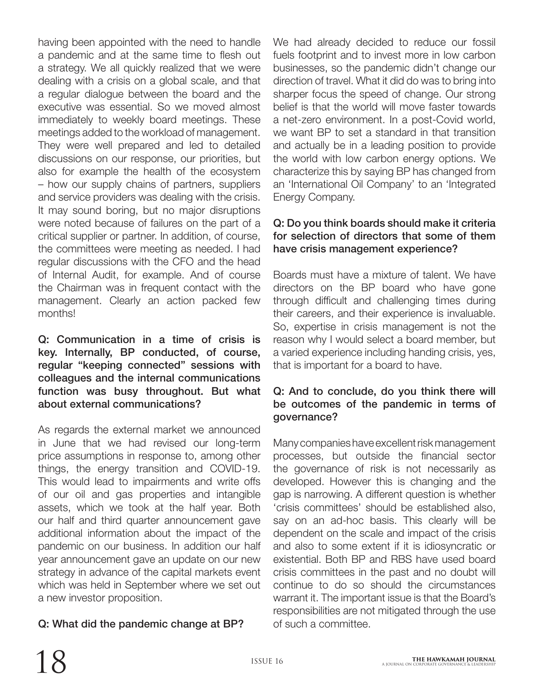having been appointed with the need to handle a pandemic and at the same time to flesh out a strategy. We all quickly realized that we were dealing with a crisis on a global scale, and that a regular dialogue between the board and the executive was essential. So we moved almost immediately to weekly board meetings. These meetings added to the workload of management. They were well prepared and led to detailed discussions on our response, our priorities, but also for example the health of the ecosystem – how our supply chains of partners, suppliers and service providers was dealing with the crisis. It may sound boring, but no major disruptions were noted because of failures on the part of a critical supplier or partner. In addition, of course, the committees were meeting as needed. I had regular discussions with the CFO and the head of Internal Audit, for example. And of course the Chairman was in frequent contact with the management. Clearly an action packed few months!

#### Q: Communication in a time of crisis is key. Internally, BP conducted, of course, regular "keeping connected" sessions with colleagues and the internal communications function was busy throughout. But what about external communications?

As regards the external market we announced in June that we had revised our long-term price assumptions in response to, among other things, the energy transition and COVID-19. This would lead to impairments and write offs of our oil and gas properties and intangible assets, which we took at the half year. Both our half and third quarter announcement gave additional information about the impact of the pandemic on our business. In addition our half year announcement gave an update on our new strategy in advance of the capital markets event which was held in September where we set out a new investor proposition.

## Q: What did the pandemic change at BP?

We had already decided to reduce our fossil fuels footprint and to invest more in low carbon businesses, so the pandemic didn't change our direction of travel. What it did do was to bring into sharper focus the speed of change. Our strong belief is that the world will move faster towards a net-zero environment. In a post-Covid world, we want BP to set a standard in that transition and actually be in a leading position to provide the world with low carbon energy options. We characterize this by saying BP has changed from an 'International Oil Company' to an 'Integrated Energy Company.

#### Q: Do you think boards should make it criteria for selection of directors that some of them have crisis management experience?

Boards must have a mixture of talent. We have directors on the BP board who have gone through difficult and challenging times during their careers, and their experience is invaluable. So, expertise in crisis management is not the reason why I would select a board member, but a varied experience including handing crisis, yes, that is important for a board to have.

#### Q: And to conclude, do you think there will be outcomes of the pandemic in terms of governance?

Many companies have excellent risk management processes, but outside the financial sector the governance of risk is not necessarily as developed. However this is changing and the gap is narrowing. A different question is whether 'crisis committees' should be established also, say on an ad-hoc basis. This clearly will be dependent on the scale and impact of the crisis and also to some extent if it is idiosyncratic or existential. Both BP and RBS have used board crisis committees in the past and no doubt will continue to do so should the circumstances warrant it. The important issue is that the Board's responsibilities are not mitigated through the use of such a committee.